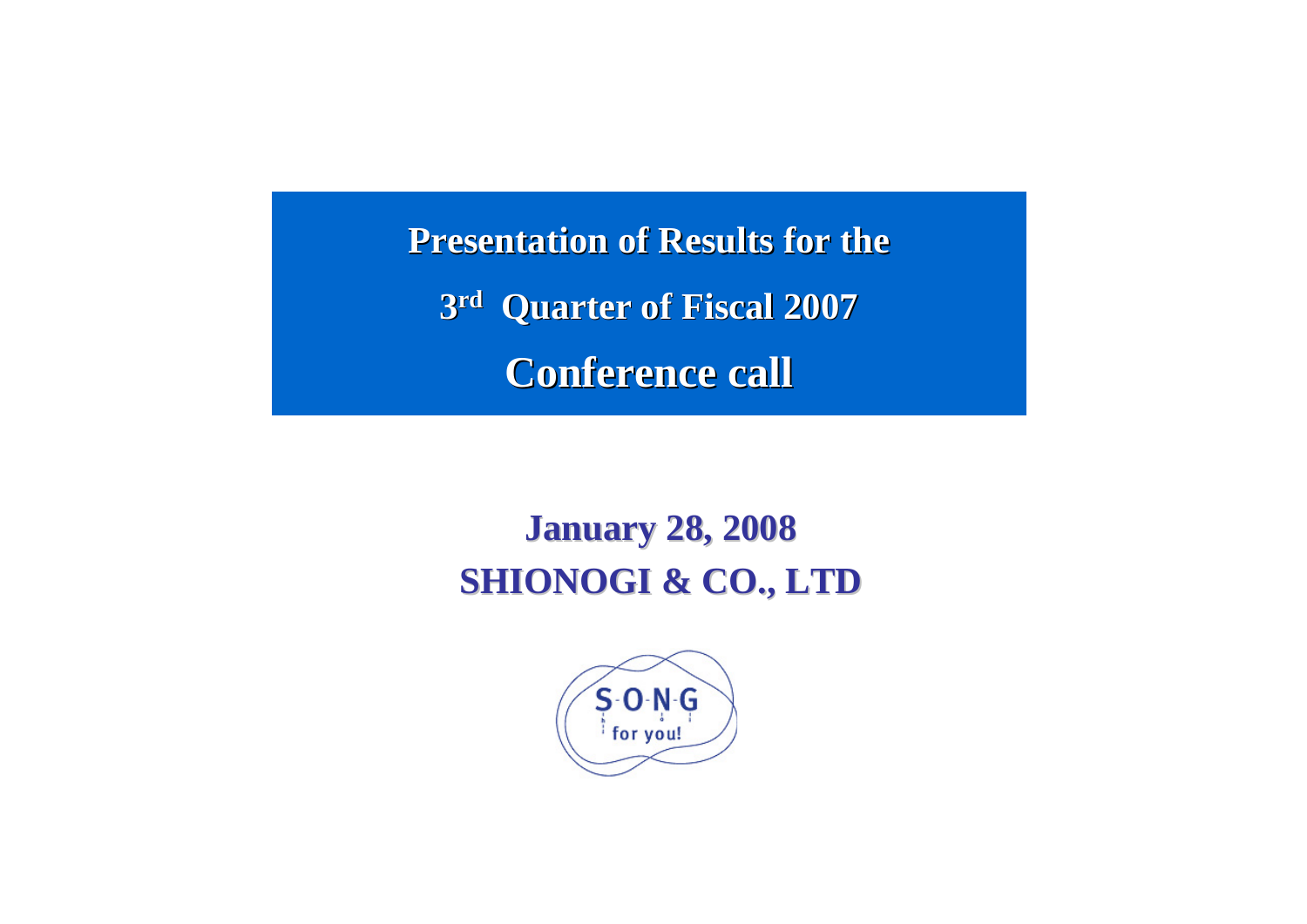**Presentation of Results for the 3rd Quarter of Fiscal 2007 Quarter of Fiscal 2007 Conference call Conference call**

# **January 28, 2008 January 28, 2008 SHIONOGI & CO., LTD**

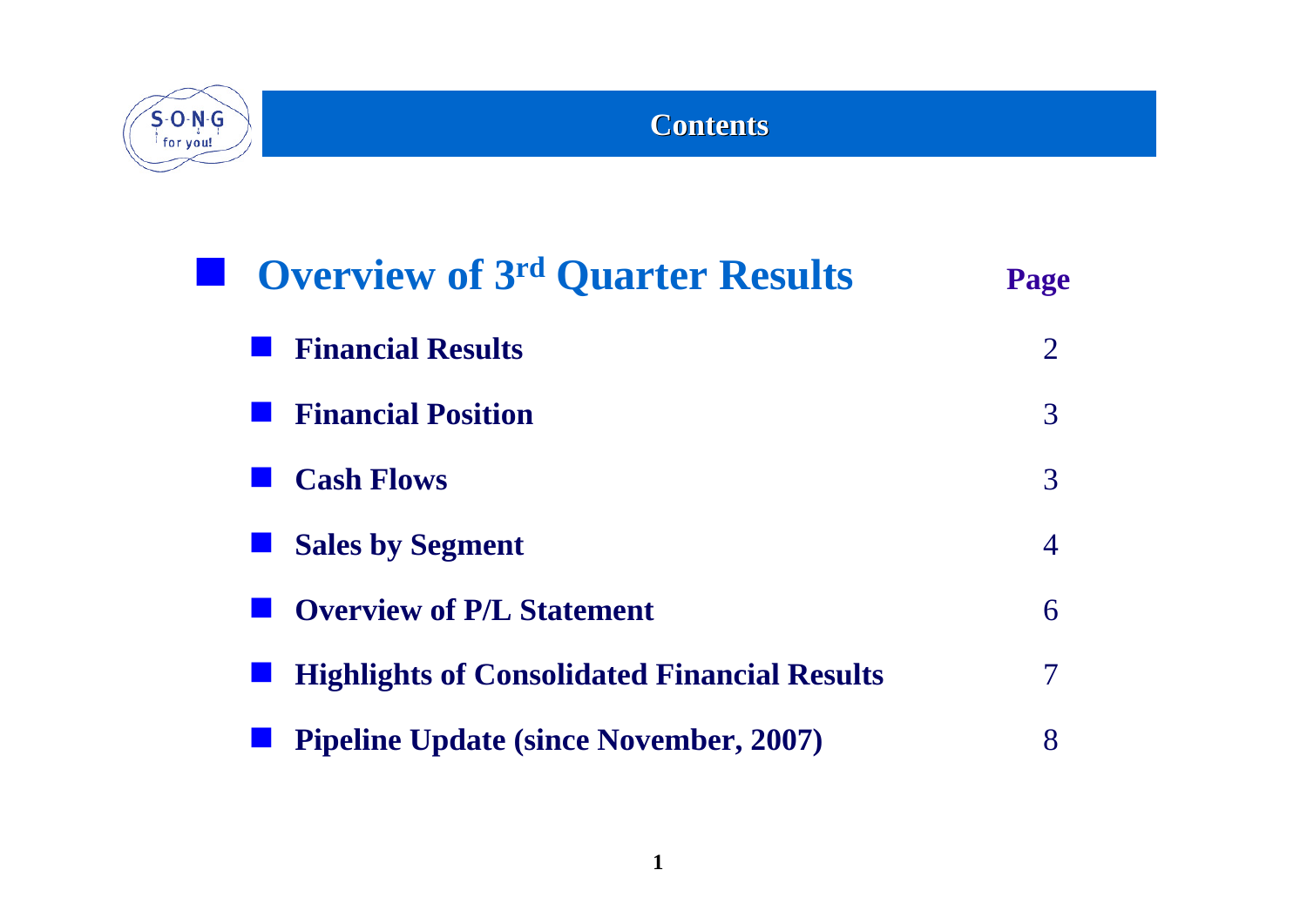

#### **Contents Contents**

| <b>Overview of 3rd Quarter Results</b>              | Page           |
|-----------------------------------------------------|----------------|
| <b>Financial Results</b>                            | $\overline{2}$ |
| <b>Financial Position</b>                           | 3              |
| <b>Cash Flows</b>                                   | 3              |
| <b>Sales by Segment</b>                             | 4              |
| <b>Overview of P/L Statement</b>                    | 6              |
| <b>Highlights of Consolidated Financial Results</b> | 7              |
| <b>Pipeline Update (since November, 2007)</b>       | 8              |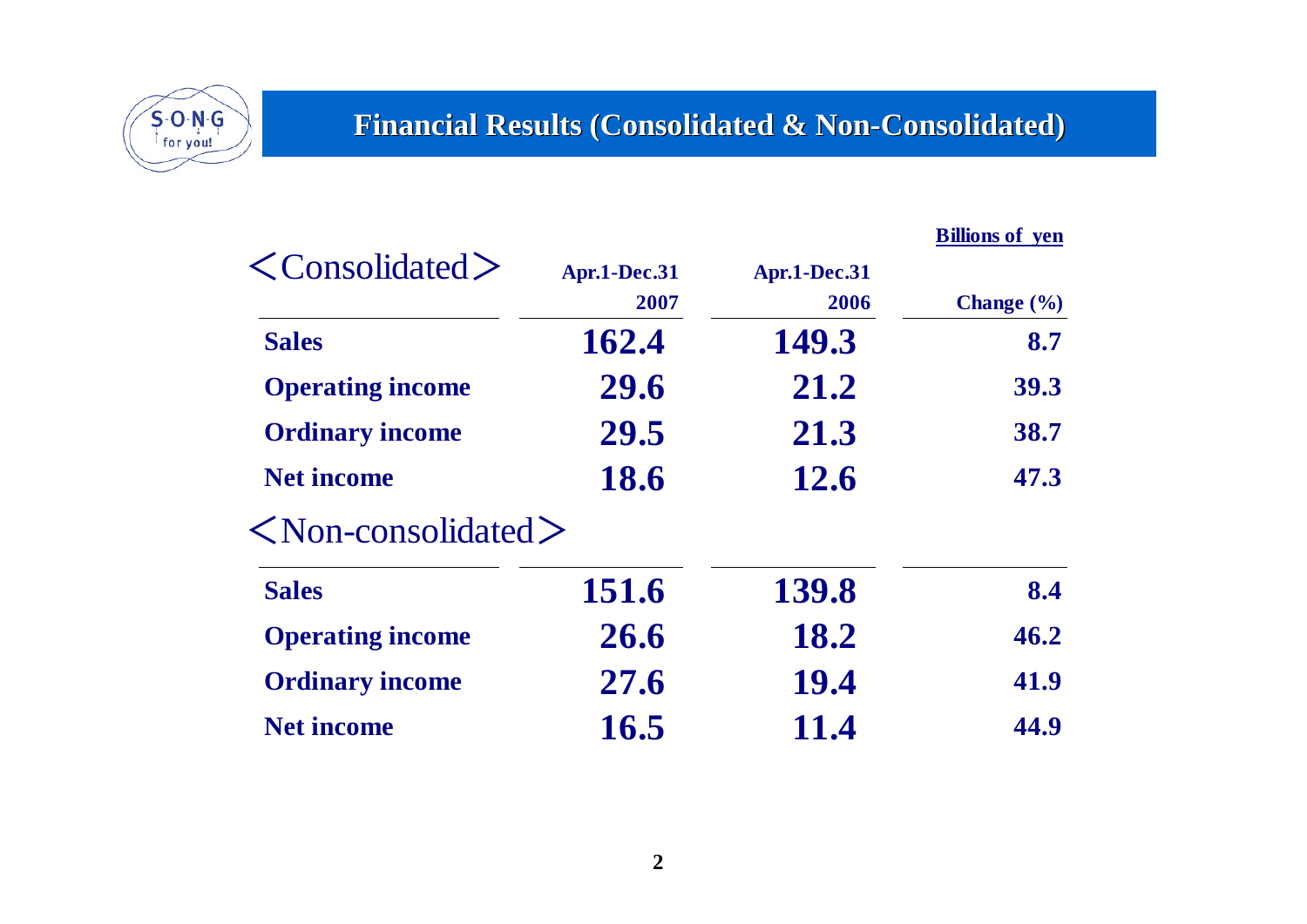

### **Financial Results (Consolidated & Non-Consolidated)**

|                                      |                      |                      | <b>Billions of yen</b> |
|--------------------------------------|----------------------|----------------------|------------------------|
| $\langle$ Consolidated $\rangle$     | Apr.1-Dec.31<br>2007 | Apr.1-Dec.31<br>2006 | <b>Change</b> $(\%)$   |
| <b>Sales</b>                         | 162.4                | 149.3                | 8.7                    |
| <b>Operating income</b>              | 29.6                 | 21.2                 | 39.3                   |
| <b>Ordinary income</b>               | 29.5                 | 21.3                 | 38.7                   |
| <b>Net income</b>                    | 18.6                 | 12.6                 | 47.3                   |
| $\langle$ Non-consolidated $\rangle$ |                      |                      |                        |
| <b>Sales</b>                         | 151.6                | 139.8                | 8.4                    |
| <b>Operating income</b>              | 26.6                 | 18.2                 | 46.2                   |
| <b>Ordinary income</b>               | 27.6                 | 19.4                 | 41.9                   |
| <b>Net income</b>                    | 16.5                 | 11.4                 | 44.9                   |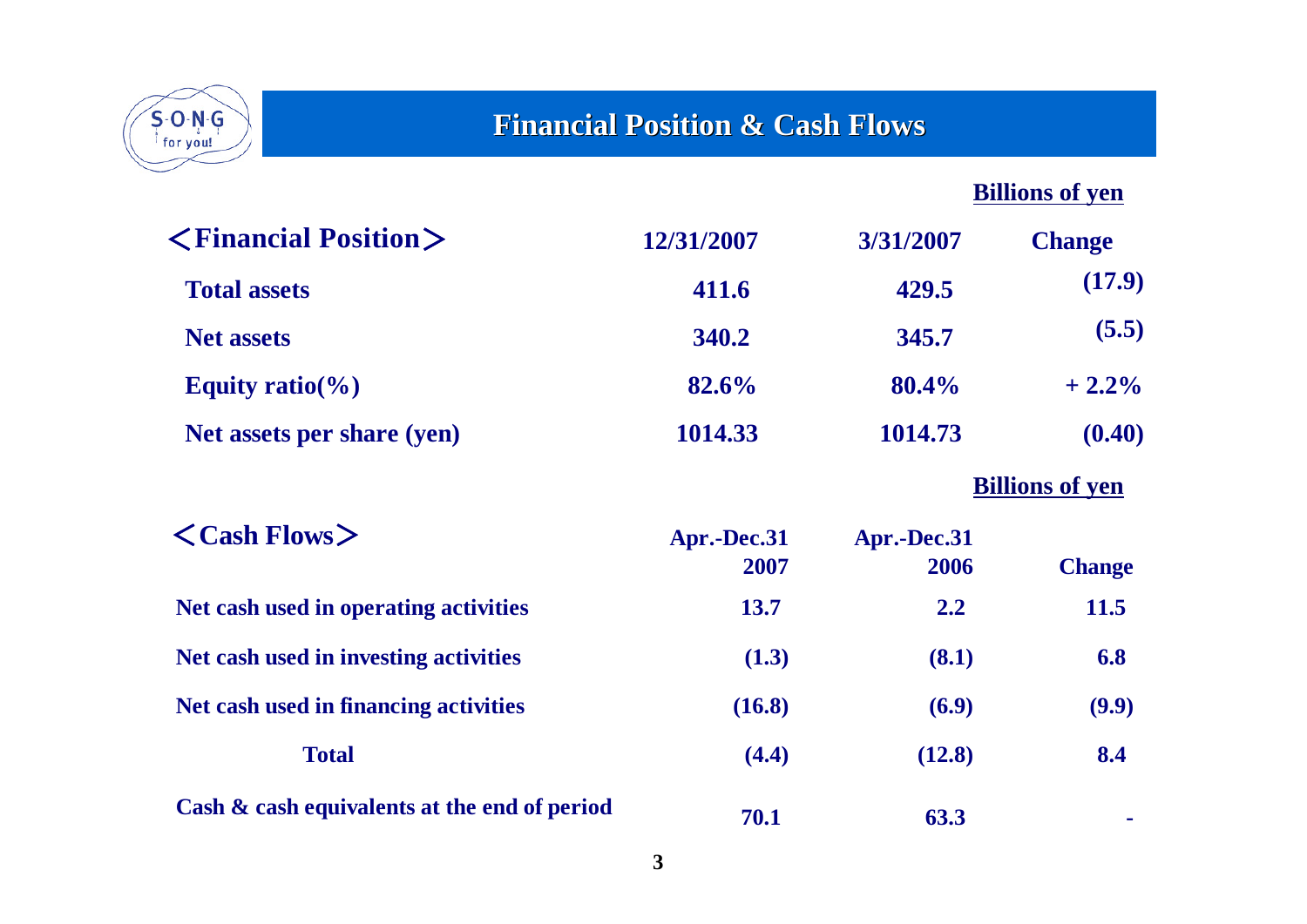

### **Financial Position & Cash Flows Financial Position & Cash Flows**

**Billions of yen**

| $\langle$ Financial Position $\rangle$       | 12/31/2007          | 3/31/2007           | <b>Change</b>          |
|----------------------------------------------|---------------------|---------------------|------------------------|
| <b>Total assets</b>                          | 411.6               | 429.5               | (17.9)                 |
| <b>Net assets</b>                            | 340.2               | 345.7               | (5.5)                  |
| Equity ratio( $\%$ )                         | 82.6%               | 80.4%               | $+2.2\%$               |
| Net assets per share (yen)                   | 1014.33             | 1014.73             | (0.40)                 |
|                                              |                     |                     | <b>Billions of yen</b> |
| $\langle$ Cash Flows $\rangle$               | Apr.-Dec.31<br>2007 | Apr.-Dec.31<br>2006 | <b>Change</b>          |
| Net cash used in operating activities        | <b>13.7</b>         | 2.2                 | <b>11.5</b>            |
| Net cash used in investing activities        | (1.3)               | (8.1)               | 6.8                    |
| Net cash used in financing activities        | (16.8)              | (6.9)               | (9.9)                  |
| <b>Total</b>                                 | (4.4)               | (12.8)              | 8.4                    |
| Cash & cash equivalents at the end of period | 70.1                | 63.3                |                        |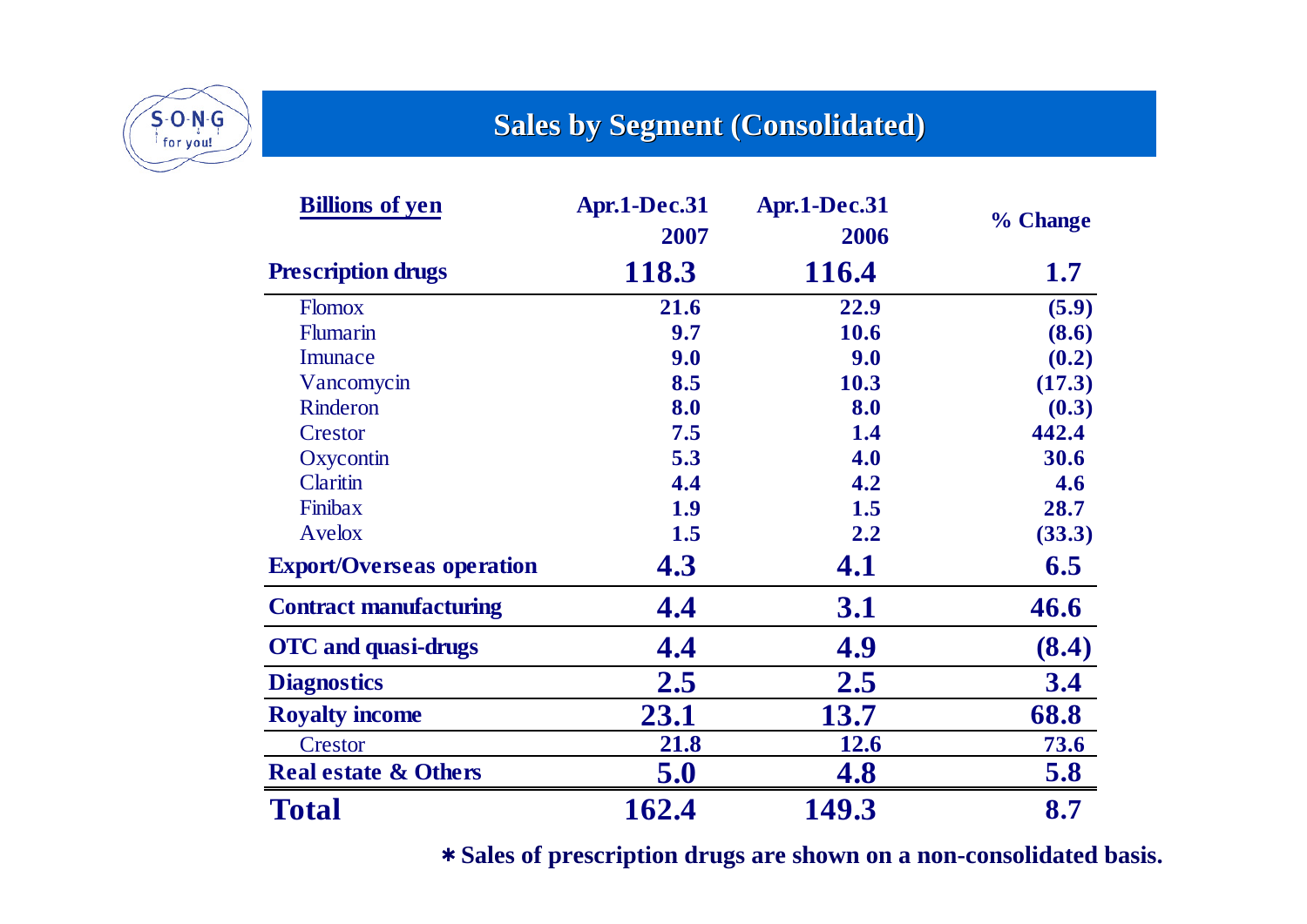

### **Sales by Segment (Consolidated)**

| <b>Billions of yen</b>           | Apr.1-Dec.31 | Apr.1-Dec.31 | % Change |
|----------------------------------|--------------|--------------|----------|
|                                  | 2007         | 2006         |          |
| <b>Prescription drugs</b>        | 118.3        | 116.4        | 1.7      |
| <b>Flomox</b>                    | 21.6         | 22.9         | (5.9)    |
| Flumarin                         | 9.7          | 10.6         | (8.6)    |
| Imunace                          | 9.0          | 9.0          | (0.2)    |
| Vancomycin                       | 8.5          | 10.3         | (17.3)   |
| Rinderon                         | 8.0          | 8.0          | (0.3)    |
| Crestor                          | 7.5          | 1.4          | 442.4    |
| Oxycontin                        | 5.3          | 4.0          | 30.6     |
| <b>Claritin</b>                  | 4.4          | 4.2          | 4.6      |
| Finibax                          | 1.9          | 1.5          | 28.7     |
| Avelox                           | 1.5          | 2.2          | (33.3)   |
| <b>Export/Overseas operation</b> | 4.3          | 4.1          | 6.5      |
| <b>Contract manufacturing</b>    | 4.4          | 3.1          | 46.6     |
| <b>OTC</b> and quasi-drugs       | 4.4          | 4.9          | (8.4)    |
| <b>Diagnostics</b>               | 2.5          | 2.5          | 3.4      |
| <b>Royalty income</b>            | 23.1         | 13.7         | 68.8     |
| Crestor                          | 21.8         | 12.6         | 73.6     |
| <b>Real estate &amp; Others</b>  | 5.0          | 4.8          | 5.8      |
| <b>Total</b>                     | 162.4        | 149.3        | 8.7      |

**4** \***Sales of prescription drugs are shown on a non-consolidated basis.**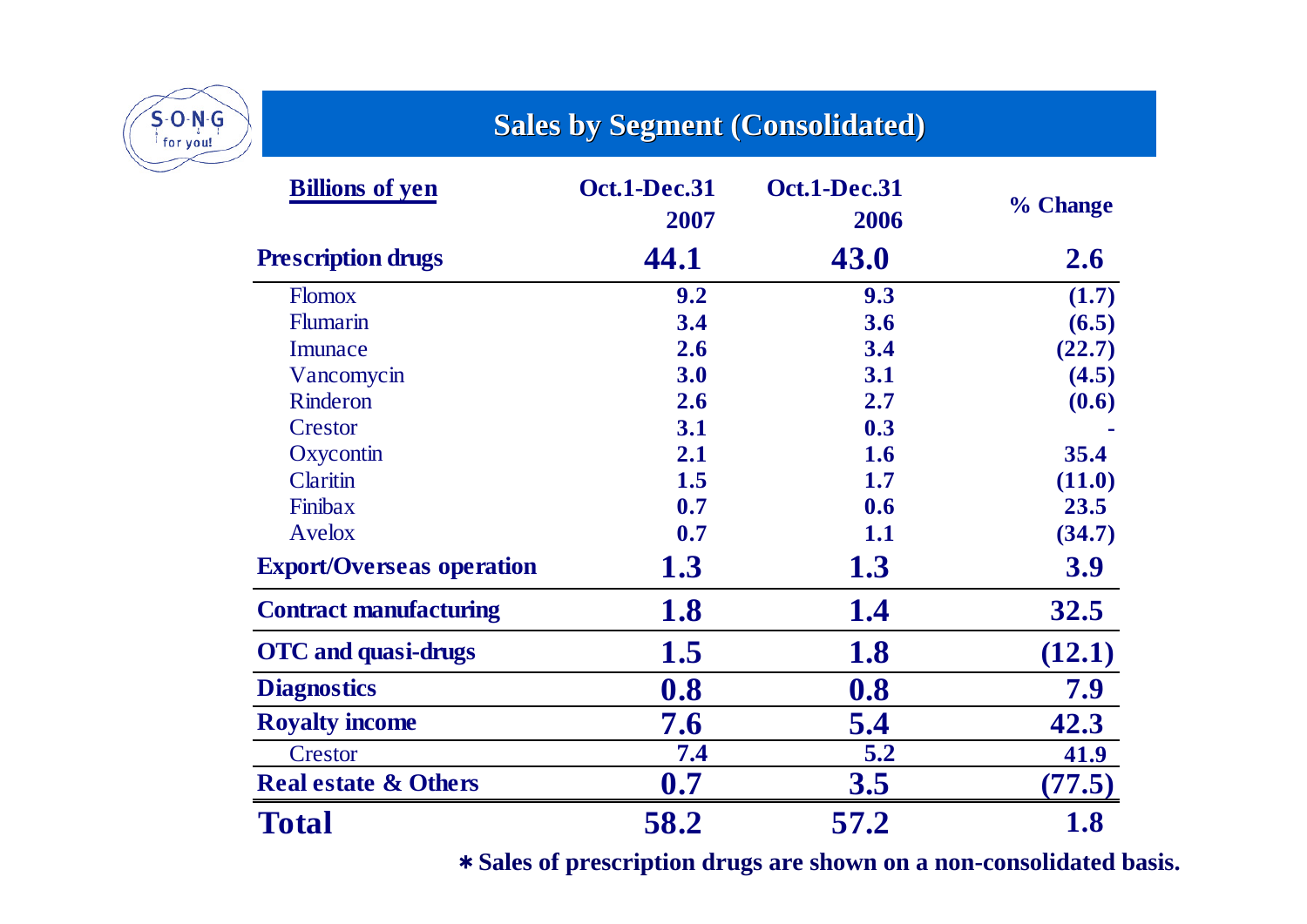

## **Sales by Segment (Consolidated)**

| <b>Billions of yen</b>           | Oct.1-Dec.31<br>2007 | Oct.1-Dec.31<br>2006 | % Change    |
|----------------------------------|----------------------|----------------------|-------------|
| <b>Prescription drugs</b>        | 44.1                 | 43.0                 | 2.6         |
| <b>Flomox</b>                    | 9.2                  | 9.3                  | (1.7)       |
| Flumarin                         | 3.4                  | 3.6                  | (6.5)       |
| Imunace                          | 2.6                  | 3.4                  | (22.7)      |
| Vancomycin                       | 3.0                  | 3.1                  | (4.5)       |
| Rinderon                         | 2.6                  | 2.7                  | (0.6)       |
| Crestor                          | 3.1                  | 0.3                  |             |
| Oxycontin                        | 2.1                  | 1.6                  | 35.4        |
| Claritin                         | 1.5                  | 1.7                  | (11.0)      |
| Finibax                          | 0.7                  | 0.6                  | 23.5        |
| Avelox                           | 0.7                  | 1.1                  | (34.7)      |
| <b>Export/Overseas operation</b> | 1.3                  | 1.3                  | <b>3.9</b>  |
| <b>Contract manufacturing</b>    | <b>1.8</b>           | 1.4                  | <b>32.5</b> |
| <b>OTC</b> and quasi-drugs       | 1.5                  | <b>1.8</b>           | (12.1)      |
| <b>Diagnostics</b>               | 0.8                  | 0.8                  | 7.9         |
| <b>Royalty income</b>            | 7.6                  | 5.4                  | 42.3        |
| Crestor                          | 7.4                  | 5.2                  | 41.9        |
| <b>Real estate &amp; Others</b>  | 0.7                  | 3.5                  | (77.5)      |
| <b>Total</b>                     | 58.2                 | 57.2                 | <b>1.8</b>  |

**5** \***Sales of prescription drugs are shown on a non-consolidated basis.**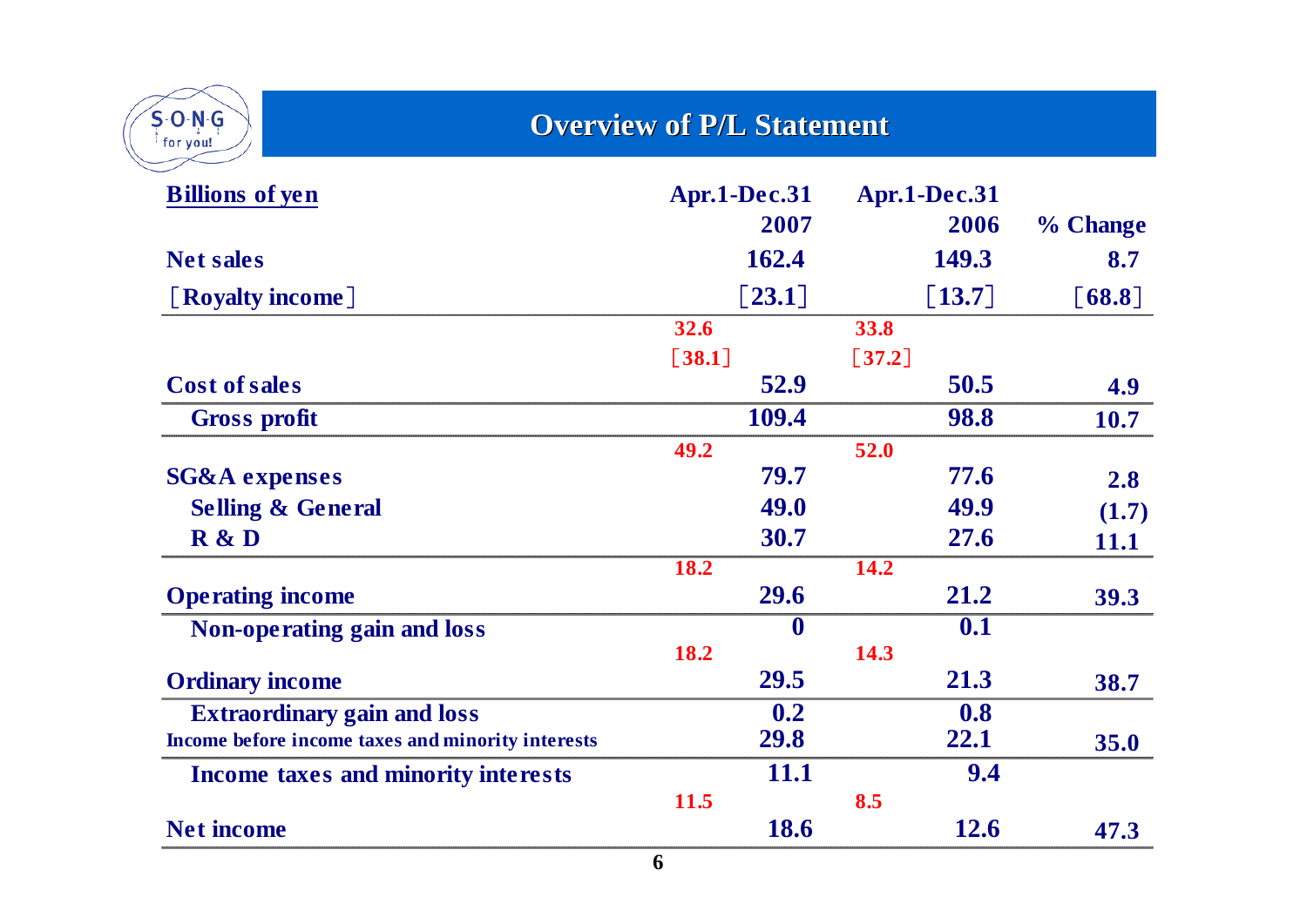| S O N G<br>for you!                               | <b>Overview of P/L Statement</b> |                     |             |
|---------------------------------------------------|----------------------------------|---------------------|-------------|
| <b>Billions of yen</b>                            | Apr.1-Dec.31                     | Apr.1-Dec.31        |             |
|                                                   | 2007                             | 2006                | % Change    |
| <b>Net sales</b>                                  | 162.4                            | 149.3               | 8.7         |
| [Royalty income]                                  | $\left[ 23.1 \right]$            | $\left[13.7\right]$ | $[68.8]$    |
|                                                   | 32.6                             | 33.8                |             |
|                                                   | $[38.1]$                         | $[37.2]$            |             |
| <b>Cost of sales</b>                              | 52.9                             | 50.5                | 4.9         |
| <b>Gross profit</b>                               | 109.4                            | 98.8                | 10.7        |
|                                                   | 49.2                             | 52.0                |             |
| <b>SG&amp;A</b> expenses                          | 79.7                             | 77.6                | 2.8         |
| <b>Selling &amp; General</b>                      | 49.0                             | 49.9                | (1.7)       |
| R & D                                             | 30.7                             | 27.6                | <b>11.1</b> |
|                                                   | 18.2                             | 14.2                |             |
| <b>Operating income</b>                           | 29.6                             | 21.2                | 39.3        |
| <b>Non-operating gain and loss</b>                | $\mathbf 0$                      | 0.1                 |             |
|                                                   | 18.2                             | 14.3                |             |
| <b>Ordinary income</b>                            | 29.5                             | 21.3                | 38.7        |
| <b>Extraordinary gain and loss</b>                | 0.2                              | 0.8                 |             |
| Income before income taxes and minority interests | 29.8                             | 22.1                | <b>35.0</b> |
| Income taxes and minority interests               | <b>11.1</b>                      | 9.4                 |             |
|                                                   | 11.5                             | 8.5                 |             |
| <b>Net income</b>                                 | 18.6                             | 12.6                | 47.3        |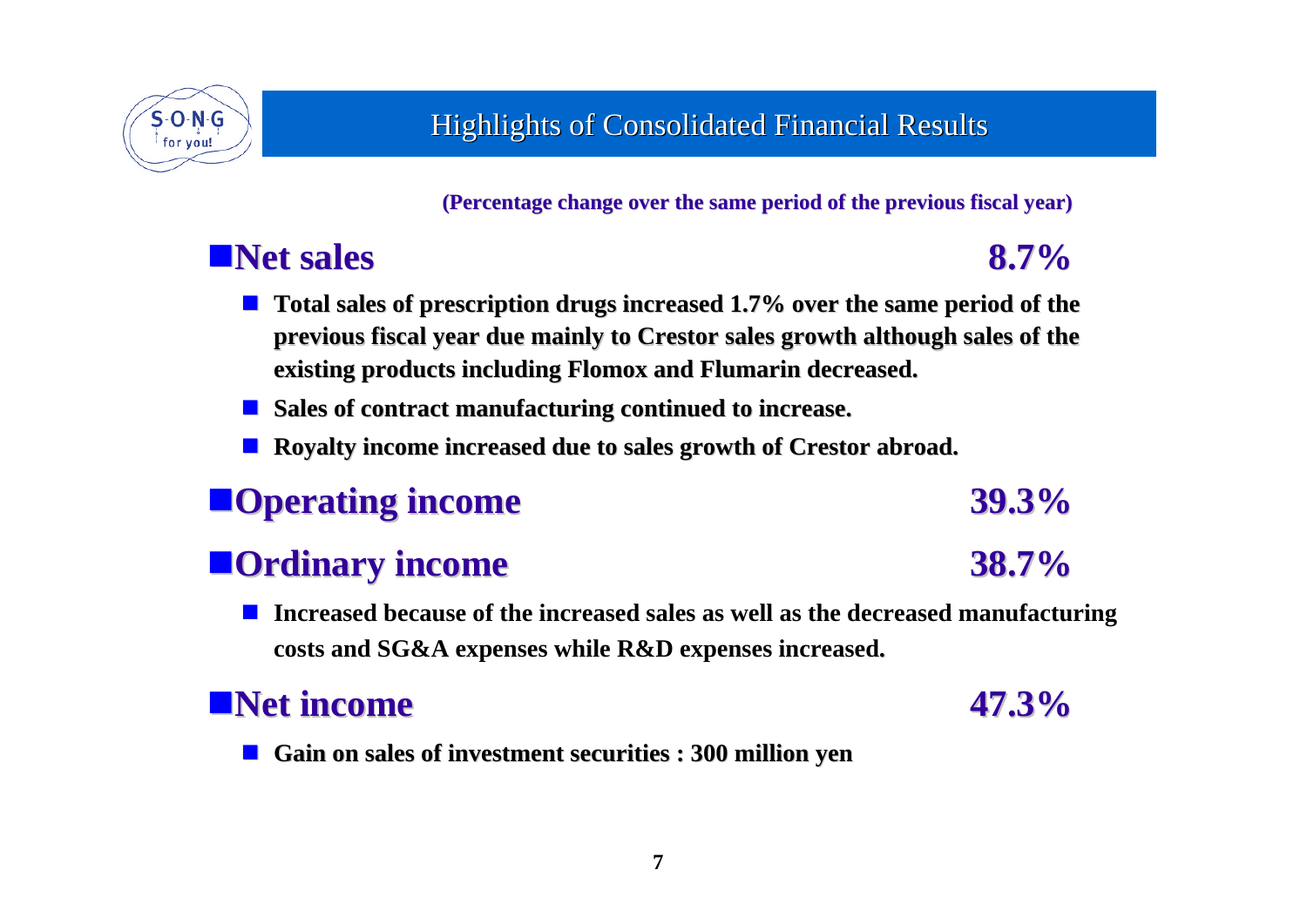

**(Percentage change over the same p (Percentage change over the same period of the previous fiscal y eriod of the previous fiscal year)**

# **Net sales**

$$
\pmb{8.7\%}
$$

**47.3%**

- **Total sales of prescription drugs increased 1.7% over the same period of the previous fiscal year due mainly to Crestor sales growth although sales of the existing products including Flomox and Flumarin decreased.**
- **Sales of contract manufacturing continued to increase.**
- × **Royalty income increased due to sales growth of Crestor abroad.**

# **Operating income Operating income 39.3%**

# **Ordinary income Ordinary income 38.7%**

F **Increased because of the increased sales as well as the decreased manufacturing costs and SG&A expenses while R&D expenses increased.** 

## **Net income Net income**

**Gain on sales of investment Gain on sales of investment securities : 300 million yen securities : 300 million yen**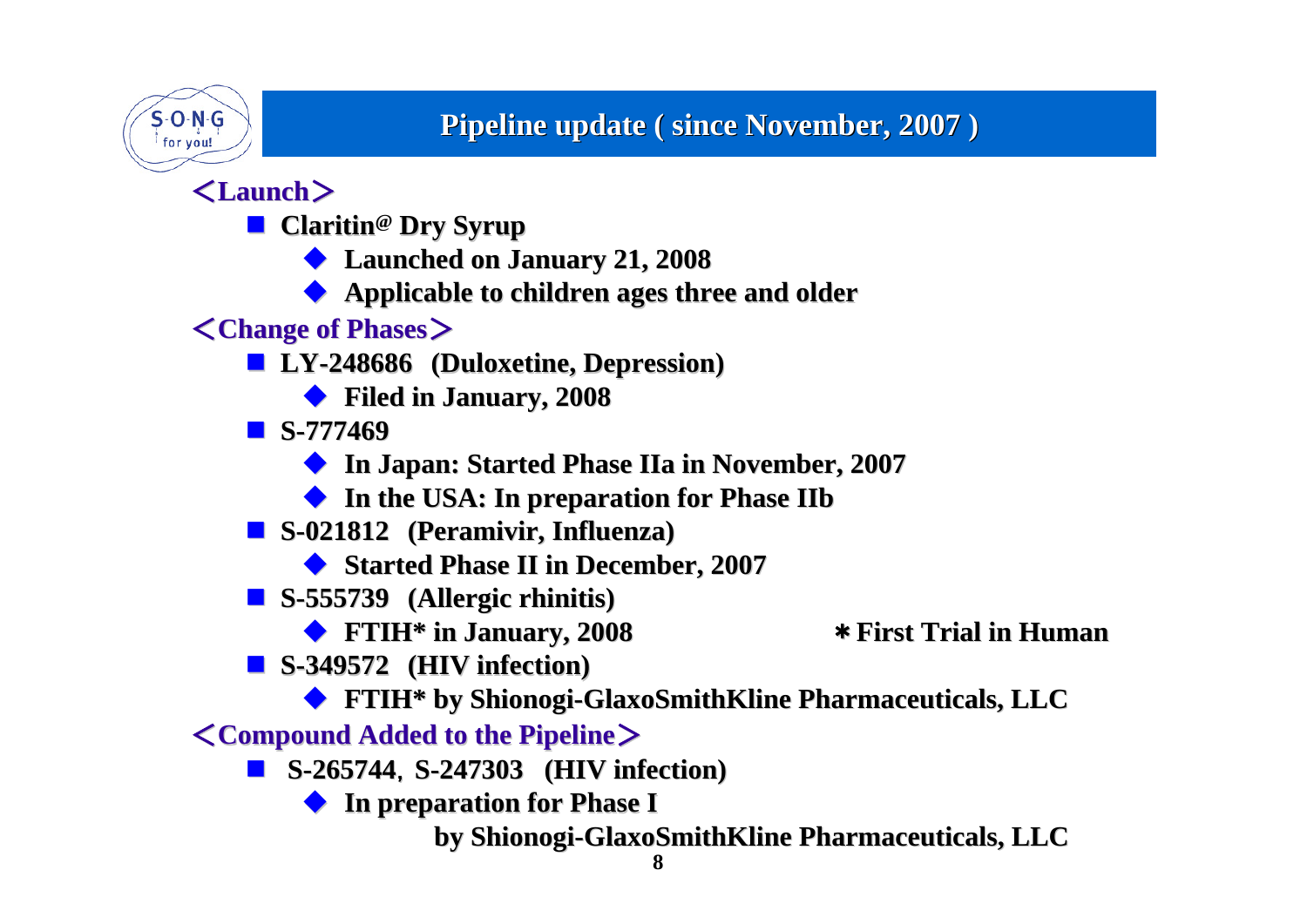

### **Pipeline update ( since November, 2007 ) Pipeline update ( since November, 2007 )**

### <**Launch**>

- **E** Claritin<sup>@</sup> Dry Syrup
	- **Launched on January 21, 2008 Launched on January 21, 2008**
	- $\blacklozenge$ **Applicable to children ages three and older Applicable to children ages three and older**

### <**Change of Phases Change of Phases**>

- **LY-248686** (Duloxetine, Depression)
	- $\blacklozenge$ **Filed in January, 2008 Filed in January, 2008**
- **S-777469**
	- ◆ In Japan: Started Phase IIa in November, 2007
	- **In the USA: In preparation for Phase IIb**
- **S-021812 (Peramivir Peramivir, Influenza) , Influenza)**
	- ◆ Started Phase II in December, 2007
- **S-555739 (Allergic rhinitis) (Allergic rhinitis)**
	- ◆ FTIH<sup>\*</sup> in January, 2008 **\* First Trial in Human**
- 
- **S-349572 (HIV infection) (HIV infection)**
	- ◆ FTIH\* by Shionogi-GlaxoSmithKline Pharmaceuticals, LLC

### <**Compound Added to the Pipeline Compound Added to the Pipeline**>

- **S-265744**,**S-247303 (HIV infection) (HIV infection)**
	- **In preparation for Phase I In preparation for Phase I**

**by Shionogi by Shionogi-GlaxoSmithKline Pharmaceuticals, LLC GlaxoSmithKline Pharmaceuticals, LLC**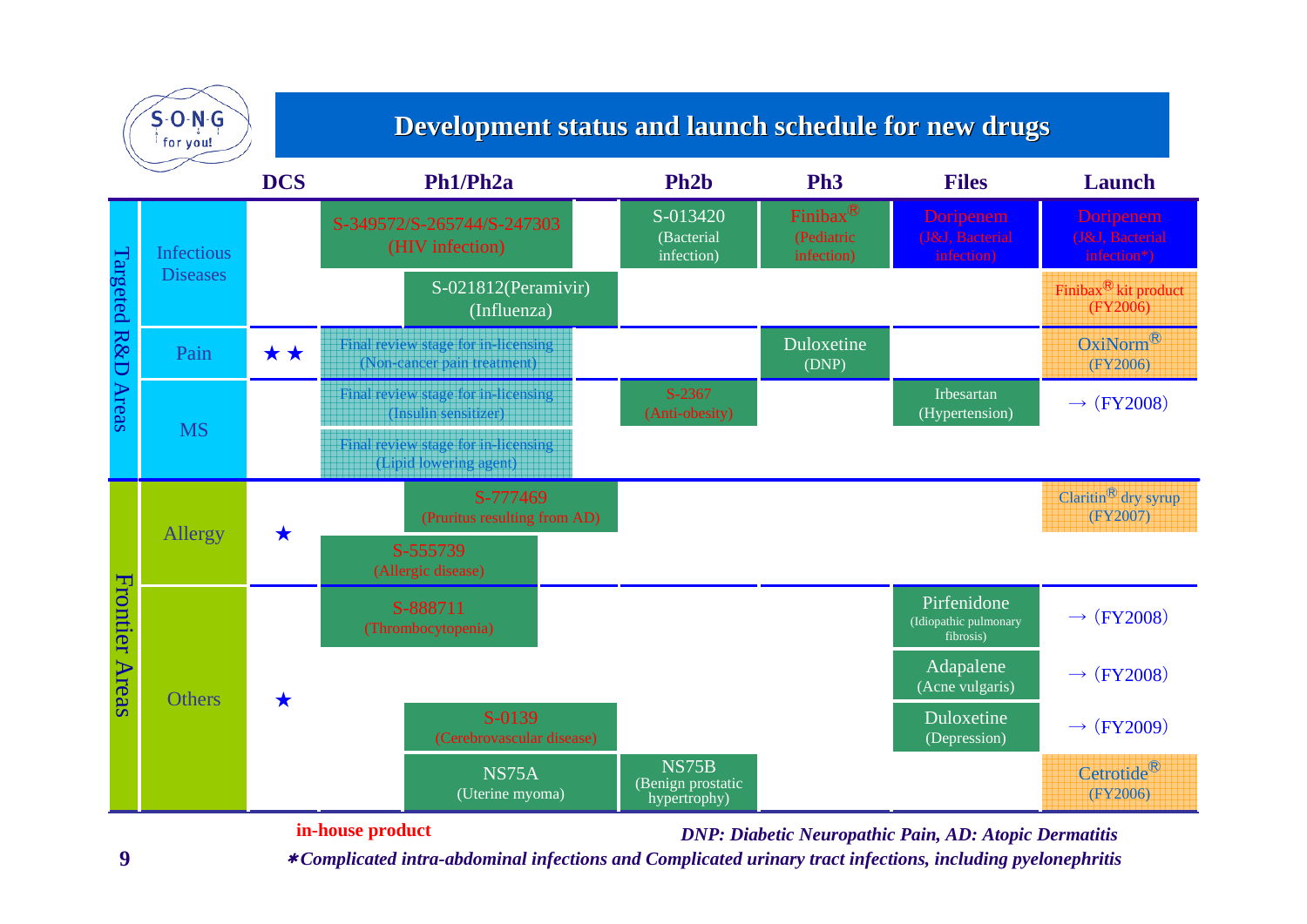

#### **Development status and launch schedule for new drugs Development status and launch schedule for new drugs**



**in-house product**

*DNP: Diabetic Neuropathic Pain, AD: Atopic Dermatitis*

**9**\**Complicated intra-abdominal infections and Complicated urinary tract infections, including pyelonephritis*